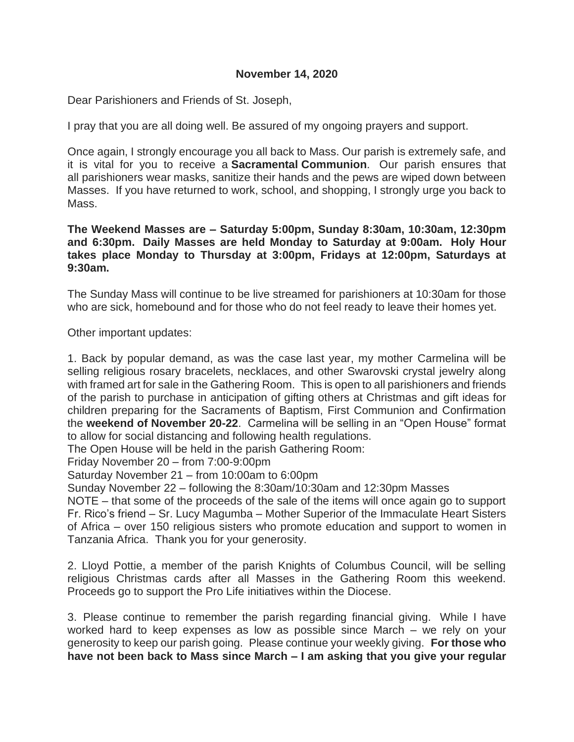## **November 14, 2020**

Dear Parishioners and Friends of St. Joseph,

I pray that you are all doing well. Be assured of my ongoing prayers and support.

Once again, I strongly encourage you all back to Mass. Our parish is extremely safe, and it is vital for you to receive a **Sacramental Communion**. Our parish ensures that all parishioners wear masks, sanitize their hands and the pews are wiped down between Masses. If you have returned to work, school, and shopping, I strongly urge you back to Mass.

**The Weekend Masses are – Saturday 5:00pm, Sunday 8:30am, 10:30am, 12:30pm and 6:30pm. Daily Masses are held Monday to Saturday at 9:00am. Holy Hour takes place Monday to Thursday at 3:00pm, Fridays at 12:00pm, Saturdays at 9:30am.**

The Sunday Mass will continue to be live streamed for parishioners at 10:30am for those who are sick, homebound and for those who do not feel ready to leave their homes yet.

Other important updates:

1. Back by popular demand, as was the case last year, my mother Carmelina will be selling religious rosary bracelets, necklaces, and other Swarovski crystal jewelry along with framed art for sale in the Gathering Room. This is open to all parishioners and friends of the parish to purchase in anticipation of gifting others at Christmas and gift ideas for children preparing for the Sacraments of Baptism, First Communion and Confirmation the **weekend of November 20-22**. Carmelina will be selling in an "Open House" format to allow for social distancing and following health regulations.

The Open House will be held in the parish Gathering Room:

Friday November 20 – from 7:00-9:00pm

Saturday November 21 – from 10:00am to 6:00pm

Sunday November 22 – following the 8:30am/10:30am and 12:30pm Masses

NOTE – that some of the proceeds of the sale of the items will once again go to support Fr. Rico's friend – Sr. Lucy Magumba – Mother Superior of the Immaculate Heart Sisters of Africa – over 150 religious sisters who promote education and support to women in Tanzania Africa. Thank you for your generosity.

2. Lloyd Pottie, a member of the parish Knights of Columbus Council, will be selling religious Christmas cards after all Masses in the Gathering Room this weekend. Proceeds go to support the Pro Life initiatives within the Diocese.

3. Please continue to remember the parish regarding financial giving. While I have worked hard to keep expenses as low as possible since March – we rely on your generosity to keep our parish going. Please continue your weekly giving. **For those who have not been back to Mass since March – I am asking that you give your regular**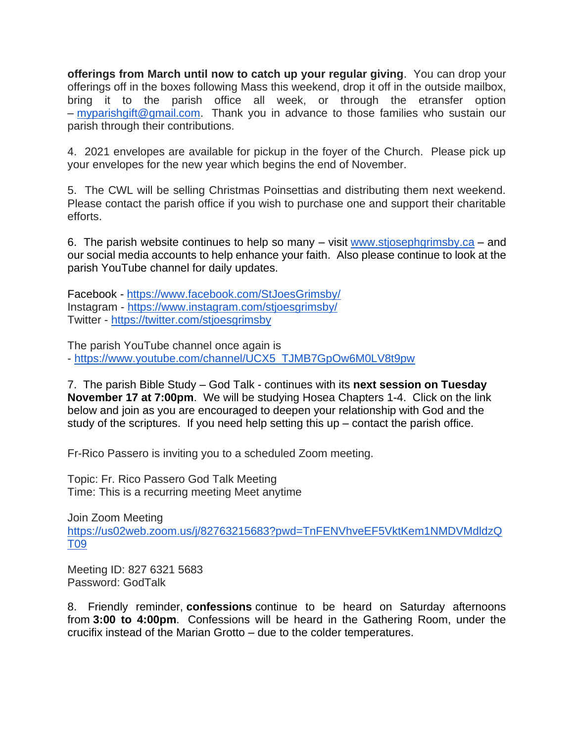**offerings from March until now to catch up your regular giving**. You can drop your offerings off in the boxes following Mass this weekend, drop it off in the outside mailbox, bring it to the parish office all week, or through the etransfer option – [myparishgift@gmail.com.](mailto:myparishgift@gmail.com) Thank you in advance to those families who sustain our parish through their contributions.

4. 2021 envelopes are available for pickup in the foyer of the Church. Please pick up your envelopes for the new year which begins the end of November.

5. The CWL will be selling Christmas Poinsettias and distributing them next weekend. Please contact the parish office if you wish to purchase one and support their charitable efforts.

6. The parish website continues to help so many  $-$  visit [www.stjosephgrimsby.ca](http://www.stjosephgrimsby.ca/)  $-$  and our social media accounts to help enhance your faith. Also please continue to look at the parish YouTube channel for daily updates.

Facebook - <https://www.facebook.com/StJoesGrimsby/> Instagram - <https://www.instagram.com/stjoesgrimsby/> Twitter - <https://twitter.com/stjoesgrimsby>

The parish YouTube channel once again is - [https://www.youtube.com/channel/UCX5\\_TJMB7GpOw6M0LV8t9pw](https://www.youtube.com/channel/UCX5_TJMB7GpOw6M0LV8t9pw)

7. The parish Bible Study – God Talk - continues with its **next session on Tuesday November 17 at 7:00pm**. We will be studying Hosea Chapters 1-4. Click on the link below and join as you are encouraged to deepen your relationship with God and the study of the scriptures. If you need help setting this up – contact the parish office.

Fr-Rico Passero is inviting you to a scheduled Zoom meeting.

Topic: Fr. Rico Passero God Talk Meeting Time: This is a recurring meeting Meet anytime

Join Zoom Meeting [https://us02web.zoom.us/j/82763215683?pwd=TnFENVhveEF5VktKem1NMDVMdldzQ](https://us02web.zoom.us/j/82763215683?pwd=TnFENVhveEF5VktKem1NMDVMdldzQT09) [T09](https://us02web.zoom.us/j/82763215683?pwd=TnFENVhveEF5VktKem1NMDVMdldzQT09)

Meeting ID: 827 6321 5683 Password: GodTalk

8. Friendly reminder, **confessions** continue to be heard on Saturday afternoons from **3:00 to 4:00pm**. Confessions will be heard in the Gathering Room, under the crucifix instead of the Marian Grotto – due to the colder temperatures.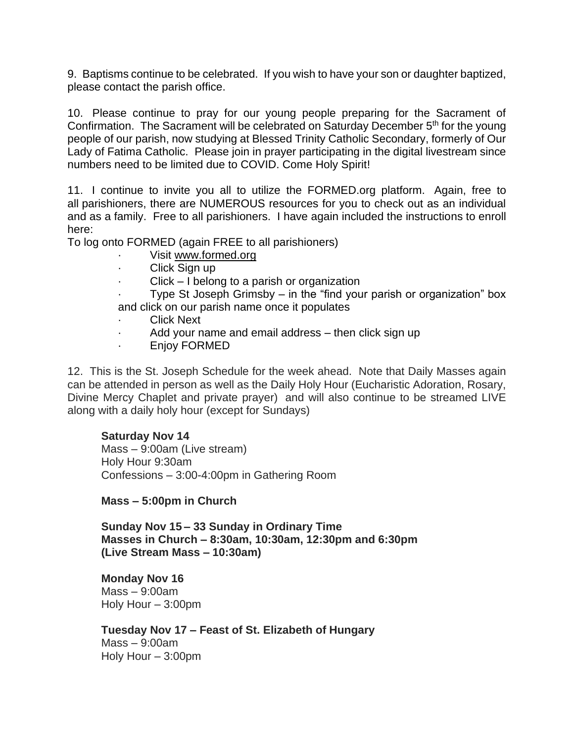9. Baptisms continue to be celebrated. If you wish to have your son or daughter baptized, please contact the parish office.

10. Please continue to pray for our young people preparing for the Sacrament of Confirmation. The Sacrament will be celebrated on Saturday December 5<sup>th</sup> for the young people of our parish, now studying at Blessed Trinity Catholic Secondary, formerly of Our Lady of Fatima Catholic. Please join in prayer participating in the digital livestream since numbers need to be limited due to COVID. Come Holy Spirit!

11. I continue to invite you all to utilize the FORMED.org platform. Again, free to all parishioners, there are NUMEROUS resources for you to check out as an individual and as a family. Free to all parishioners. I have again included the instructions to enroll here:

To log onto FORMED (again FREE to all parishioners)

- Visit [www.formed.org](http://www.formed.org/)
- · Click Sign up
- $Click I belong to a parish or organization$

Type St Joseph Grimsby – in the "find your parish or organization" box and click on our parish name once it populates

- **Click Next**
- · Add your name and email address then click sign up
- Enjoy FORMED

12. This is the St. Joseph Schedule for the week ahead. Note that Daily Masses again can be attended in person as well as the Daily Holy Hour (Eucharistic Adoration, Rosary, Divine Mercy Chaplet and private prayer) and will also continue to be streamed LIVE along with a daily holy hour (except for Sundays)

## **Saturday Nov 14**

Mass – 9:00am (Live stream) Holy Hour 9:30am Confessions – 3:00-4:00pm in Gathering Room

**Mass – 5:00pm in Church**

**Sunday Nov 15 – 33 Sunday in Ordinary Time Masses in Church – 8:30am, 10:30am, 12:30pm and 6:30pm (Live Stream Mass – 10:30am)**

**Monday Nov 16** Mass – 9:00am Holy Hour – 3:00pm

**Tuesday Nov 17 – Feast of St. Elizabeth of Hungary** Mass – 9:00am Holy Hour – 3:00pm